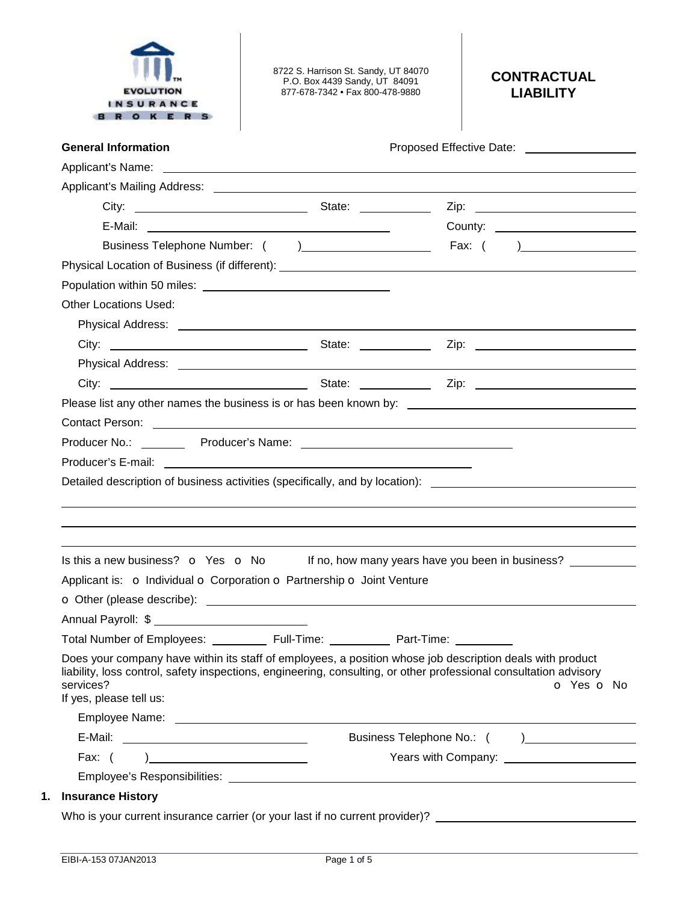

8722 S. Harrison St. Sandy, UT 84070 P.O. Box 4439 Sandy, UT 84091 877-678-7342 • Fax 800-478-9880

## **CONTRACTUAL LIABILITY**

| <b>General Information</b>                                                 |            | Proposed Effective Date: National Assembly Proposed Effective Date:                                                                                                                                                                          |  |
|----------------------------------------------------------------------------|------------|----------------------------------------------------------------------------------------------------------------------------------------------------------------------------------------------------------------------------------------------|--|
|                                                                            |            |                                                                                                                                                                                                                                              |  |
|                                                                            |            |                                                                                                                                                                                                                                              |  |
|                                                                            |            |                                                                                                                                                                                                                                              |  |
|                                                                            |            | County: ________________________                                                                                                                                                                                                             |  |
|                                                                            |            |                                                                                                                                                                                                                                              |  |
|                                                                            |            |                                                                                                                                                                                                                                              |  |
|                                                                            |            |                                                                                                                                                                                                                                              |  |
| <b>Other Locations Used:</b>                                               |            |                                                                                                                                                                                                                                              |  |
|                                                                            |            |                                                                                                                                                                                                                                              |  |
|                                                                            |            |                                                                                                                                                                                                                                              |  |
|                                                                            |            |                                                                                                                                                                                                                                              |  |
|                                                                            |            |                                                                                                                                                                                                                                              |  |
|                                                                            |            |                                                                                                                                                                                                                                              |  |
|                                                                            |            | Contact Person: <u>Contact Person</u>                                                                                                                                                                                                        |  |
|                                                                            |            |                                                                                                                                                                                                                                              |  |
|                                                                            |            |                                                                                                                                                                                                                                              |  |
|                                                                            |            | Detailed description of business activities (specifically, and by location): _________________________________                                                                                                                               |  |
|                                                                            |            |                                                                                                                                                                                                                                              |  |
|                                                                            |            | Is this a new business? $\bullet$ Yes $\bullet$ No If no, how many years have you been in business?                                                                                                                                          |  |
|                                                                            |            |                                                                                                                                                                                                                                              |  |
| Applicant is: o Individual o Corporation o Partnership o Joint Venture     |            |                                                                                                                                                                                                                                              |  |
|                                                                            |            |                                                                                                                                                                                                                                              |  |
|                                                                            |            | Part-Time:                                                                                                                                                                                                                                   |  |
| Total Number of Employees: ___<br>services?<br>If yes, please tell us:     | Full-Time: | Does your company have within its staff of employees, a position whose job description deals with product<br>liability, loss control, safety inspections, engineering, consulting, or other professional consultation advisory<br>O Yes O No |  |
|                                                                            |            |                                                                                                                                                                                                                                              |  |
|                                                                            |            |                                                                                                                                                                                                                                              |  |
| Fax: $($<br>) and the contract of the contract of $\overline{\phantom{a}}$ |            |                                                                                                                                                                                                                                              |  |
|                                                                            |            |                                                                                                                                                                                                                                              |  |
| <b>Insurance History</b>                                                   |            |                                                                                                                                                                                                                                              |  |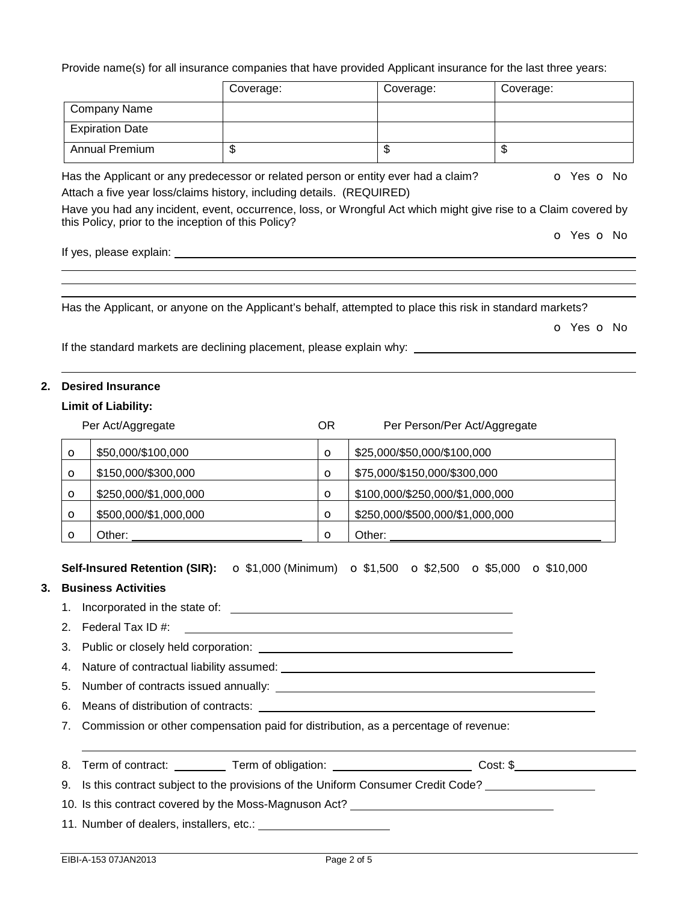Provide name(s) for all insurance companies that have provided Applicant insurance for the last three years:

|                                                                                                                                                                                                                    | Coverage:                       |           | Coverage:                                                                           | Coverage:                                                                                                                                                                                          |  |  |
|--------------------------------------------------------------------------------------------------------------------------------------------------------------------------------------------------------------------|---------------------------------|-----------|-------------------------------------------------------------------------------------|----------------------------------------------------------------------------------------------------------------------------------------------------------------------------------------------------|--|--|
| Company Name                                                                                                                                                                                                       |                                 |           |                                                                                     |                                                                                                                                                                                                    |  |  |
| <b>Expiration Date</b>                                                                                                                                                                                             |                                 |           |                                                                                     |                                                                                                                                                                                                    |  |  |
| <b>Annual Premium</b>                                                                                                                                                                                              | \$                              |           | $\overline{\mathcal{S}}$                                                            | $\boldsymbol{\mathsf{S}}$                                                                                                                                                                          |  |  |
| Has the Applicant or any predecessor or related person or entity ever had a claim?<br>Attach a five year loss/claims history, including details. (REQUIRED)<br>this Policy, prior to the inception of this Policy? |                                 |           |                                                                                     | O Yes O No<br>Have you had any incident, event, occurrence, loss, or Wrongful Act which might give rise to a Claim covered by<br>O Yes O No                                                        |  |  |
|                                                                                                                                                                                                                    |                                 |           |                                                                                     |                                                                                                                                                                                                    |  |  |
|                                                                                                                                                                                                                    |                                 |           |                                                                                     |                                                                                                                                                                                                    |  |  |
| Has the Applicant, or anyone on the Applicant's behalf, attempted to place this risk in standard markets?                                                                                                          |                                 |           |                                                                                     | O Yes O No<br>If the standard markets are declining placement, please explain why: _______________________________                                                                                 |  |  |
|                                                                                                                                                                                                                    |                                 |           |                                                                                     |                                                                                                                                                                                                    |  |  |
| <b>Desired Insurance</b>                                                                                                                                                                                           |                                 |           |                                                                                     |                                                                                                                                                                                                    |  |  |
| <b>Limit of Liability:</b>                                                                                                                                                                                         |                                 |           |                                                                                     |                                                                                                                                                                                                    |  |  |
| Per Act/Aggregate                                                                                                                                                                                                  |                                 | <b>OR</b> | Per Person/Per Act/Aggregate                                                        |                                                                                                                                                                                                    |  |  |
| \$50,000/\$100,000<br>$\mathbf o$                                                                                                                                                                                  |                                 | $\circ$   | \$25,000/\$50,000/\$100,000                                                         |                                                                                                                                                                                                    |  |  |
| \$150,000/\$300,000<br>$\circ$                                                                                                                                                                                     |                                 | $\circ$   | \$75,000/\$150,000/\$300,000                                                        |                                                                                                                                                                                                    |  |  |
| \$250,000/\$1,000,000<br>$\circ$                                                                                                                                                                                   |                                 | $\circ$   | \$100,000/\$250,000/\$1,000,000                                                     |                                                                                                                                                                                                    |  |  |
| \$500,000/\$1,000,000<br>$\circ$                                                                                                                                                                                   |                                 | $\circ$   | \$250,000/\$500,000/\$1,000,000                                                     |                                                                                                                                                                                                    |  |  |
| $\circ$                                                                                                                                                                                                            | Other: <u>_________________</u> | $\circ$   |                                                                                     |                                                                                                                                                                                                    |  |  |
| <b>Self-Insured Retention (SIR):</b><br><b>Business Activities</b><br>1.<br>Federal Tax ID #:<br>2.                                                                                                                |                                 |           | $\bullet$ \$1,000 (Minimum) $\bullet$ \$1,500 $\bullet$ \$2,500 $\bullet$ \$5,000   | $\Omega$ \$10,000                                                                                                                                                                                  |  |  |
| 3.                                                                                                                                                                                                                 |                                 |           | <u> 1980 - Andrea Stadt Britain, fransk politik (d. 1980)</u>                       |                                                                                                                                                                                                    |  |  |
|                                                                                                                                                                                                                    |                                 |           |                                                                                     |                                                                                                                                                                                                    |  |  |
|                                                                                                                                                                                                                    |                                 |           |                                                                                     |                                                                                                                                                                                                    |  |  |
| 4.                                                                                                                                                                                                                 |                                 |           |                                                                                     |                                                                                                                                                                                                    |  |  |
| 5.                                                                                                                                                                                                                 |                                 |           |                                                                                     |                                                                                                                                                                                                    |  |  |
| 6.<br>7.                                                                                                                                                                                                           |                                 |           | Commission or other compensation paid for distribution, as a percentage of revenue: |                                                                                                                                                                                                    |  |  |
|                                                                                                                                                                                                                    |                                 |           |                                                                                     |                                                                                                                                                                                                    |  |  |
| 8.                                                                                                                                                                                                                 |                                 |           |                                                                                     |                                                                                                                                                                                                    |  |  |
| 9.<br>10. Is this contract covered by the Moss-Magnuson Act? _________________________                                                                                                                             |                                 |           |                                                                                     | Term of contract: ___________ Term of obligation: _____________________________Cost: \$________________________<br>Is this contract subject to the provisions of the Uniform Consumer Credit Code? |  |  |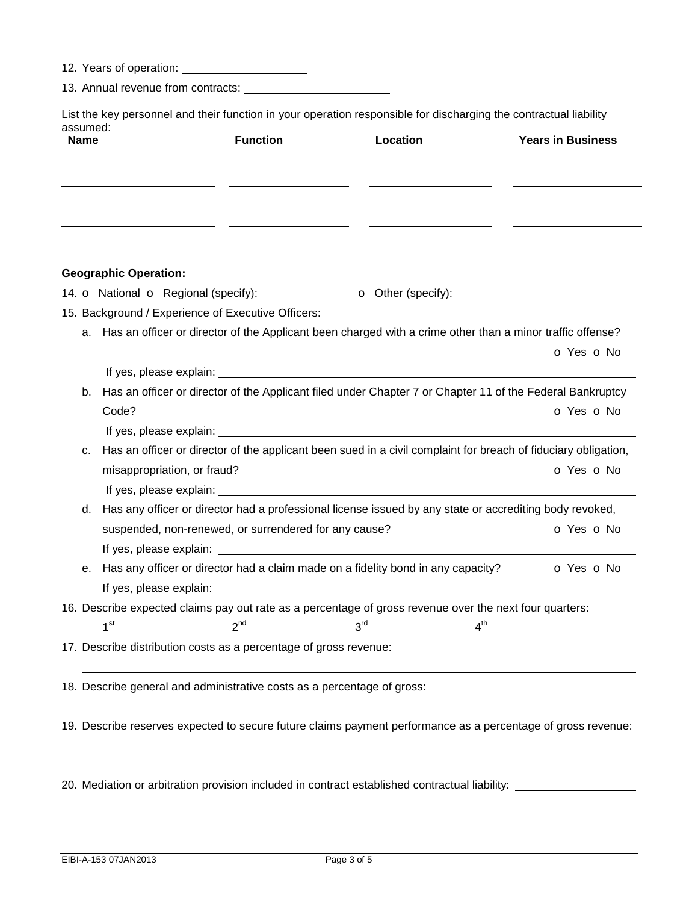|  | 12. Years of operation: |  |
|--|-------------------------|--|
|  |                         |  |

13. Annual revenue from contracts:

List the key personnel and their function in your operation responsible for discharging the contractual liability assumed:

| <b>Name</b> |                                                       | <b>Function</b> | Location                                                                                                                                                                                                                             | <b>Years in Business</b>                                                                                       |
|-------------|-------------------------------------------------------|-----------------|--------------------------------------------------------------------------------------------------------------------------------------------------------------------------------------------------------------------------------------|----------------------------------------------------------------------------------------------------------------|
|             |                                                       |                 |                                                                                                                                                                                                                                      |                                                                                                                |
|             |                                                       |                 |                                                                                                                                                                                                                                      |                                                                                                                |
|             | <b>Geographic Operation:</b>                          |                 |                                                                                                                                                                                                                                      |                                                                                                                |
|             |                                                       |                 | 14. <b>o</b> National <b>o</b> Regional (specify): <b>constantly o</b> Other (specify): <b>constantly o</b> Other (specify):                                                                                                         |                                                                                                                |
|             | 15. Background / Experience of Executive Officers:    |                 |                                                                                                                                                                                                                                      |                                                                                                                |
|             |                                                       |                 | a. Has an officer or director of the Applicant been charged with a crime other than a minor traffic offense?                                                                                                                         |                                                                                                                |
|             |                                                       |                 |                                                                                                                                                                                                                                      | O Yes O No                                                                                                     |
|             |                                                       |                 |                                                                                                                                                                                                                                      |                                                                                                                |
| b.          |                                                       |                 |                                                                                                                                                                                                                                      | Has an officer or director of the Applicant filed under Chapter 7 or Chapter 11 of the Federal Bankruptcy      |
|             | Code?                                                 |                 |                                                                                                                                                                                                                                      | O Yes O No                                                                                                     |
|             |                                                       |                 | If yes, please explain: <u>example and the set of the set of the set of the set of the set of the set of the set of the set of the set of the set of the set of the set of the set of the set of the set of the set of the set o</u> |                                                                                                                |
| c.          |                                                       |                 |                                                                                                                                                                                                                                      | Has an officer or director of the applicant been sued in a civil complaint for breach of fiduciary obligation, |
|             | misappropriation, or fraud?                           |                 |                                                                                                                                                                                                                                      | O Yes O No                                                                                                     |
|             |                                                       |                 |                                                                                                                                                                                                                                      |                                                                                                                |
| d.          |                                                       |                 | Has any officer or director had a professional license issued by any state or accrediting body revoked,                                                                                                                              |                                                                                                                |
|             | suspended, non-renewed, or surrendered for any cause? |                 |                                                                                                                                                                                                                                      | o Yes o No                                                                                                     |
|             |                                                       |                 |                                                                                                                                                                                                                                      |                                                                                                                |
| е.          |                                                       |                 | Has any officer or director had a claim made on a fidelity bond in any capacity?                                                                                                                                                     | o Yes o No                                                                                                     |
|             |                                                       |                 |                                                                                                                                                                                                                                      |                                                                                                                |
|             |                                                       |                 | 16. Describe expected claims pay out rate as a percentage of gross revenue over the next four quarters:                                                                                                                              |                                                                                                                |
|             | 1 <sup>st</sup>                                       |                 | $2^{nd}$ $2^{nd}$ $3^{rd}$ $4^{th}$ $4^{th}$                                                                                                                                                                                         |                                                                                                                |
|             |                                                       |                 |                                                                                                                                                                                                                                      | 17. Describe distribution costs as a percentage of gross revenue: _________________________________            |
|             |                                                       |                 |                                                                                                                                                                                                                                      | 18. Describe general and administrative costs as a percentage of gross: ____________________________           |
|             |                                                       |                 |                                                                                                                                                                                                                                      | 19. Describe reserves expected to secure future claims payment performance as a percentage of gross revenue:   |
|             |                                                       |                 | 20. Mediation or arbitration provision included in contract established contractual liability:                                                                                                                                       |                                                                                                                |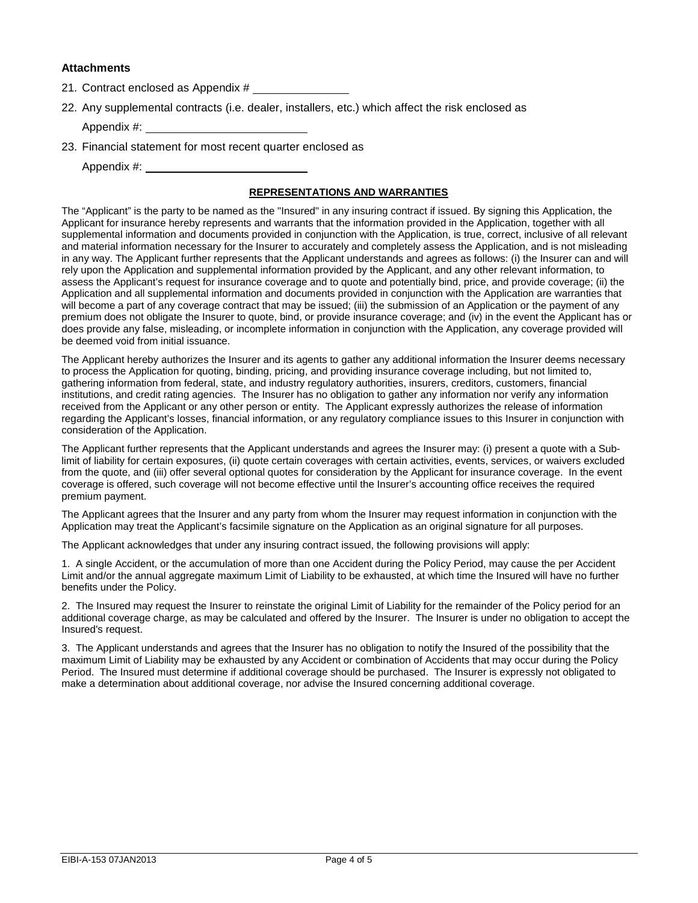## **Attachments**

- 21. Contract enclosed as Appendix #
- 22. Any supplemental contracts (i.e. dealer, installers, etc.) which affect the risk enclosed as Appendix #:

23. Financial statement for most recent quarter enclosed as

Appendix #:

## **REPRESENTATIONS AND WARRANTIES**

The "Applicant" is the party to be named as the "Insured" in any insuring contract if issued. By signing this Application, the Applicant for insurance hereby represents and warrants that the information provided in the Application, together with all supplemental information and documents provided in conjunction with the Application, is true, correct, inclusive of all relevant and material information necessary for the Insurer to accurately and completely assess the Application, and is not misleading in any way. The Applicant further represents that the Applicant understands and agrees as follows: (i) the Insurer can and will rely upon the Application and supplemental information provided by the Applicant, and any other relevant information, to assess the Applicant's request for insurance coverage and to quote and potentially bind, price, and provide coverage; (ii) the Application and all supplemental information and documents provided in conjunction with the Application are warranties that will become a part of any coverage contract that may be issued; (iii) the submission of an Application or the payment of any premium does not obligate the Insurer to quote, bind, or provide insurance coverage; and (iv) in the event the Applicant has or does provide any false, misleading, or incomplete information in conjunction with the Application, any coverage provided will be deemed void from initial issuance.

The Applicant hereby authorizes the Insurer and its agents to gather any additional information the Insurer deems necessary to process the Application for quoting, binding, pricing, and providing insurance coverage including, but not limited to, gathering information from federal, state, and industry regulatory authorities, insurers, creditors, customers, financial institutions, and credit rating agencies. The Insurer has no obligation to gather any information nor verify any information received from the Applicant or any other person or entity. The Applicant expressly authorizes the release of information regarding the Applicant's losses, financial information, or any regulatory compliance issues to this Insurer in conjunction with consideration of the Application.

The Applicant further represents that the Applicant understands and agrees the Insurer may: (i) present a quote with a Sublimit of liability for certain exposures, (ii) quote certain coverages with certain activities, events, services, or waivers excluded from the quote, and (iii) offer several optional quotes for consideration by the Applicant for insurance coverage. In the event coverage is offered, such coverage will not become effective until the Insurer's accounting office receives the required premium payment.

The Applicant agrees that the Insurer and any party from whom the Insurer may request information in conjunction with the Application may treat the Applicant's facsimile signature on the Application as an original signature for all purposes.

The Applicant acknowledges that under any insuring contract issued, the following provisions will apply:

1. A single Accident, or the accumulation of more than one Accident during the Policy Period, may cause the per Accident Limit and/or the annual aggregate maximum Limit of Liability to be exhausted, at which time the Insured will have no further benefits under the Policy.

2. The Insured may request the Insurer to reinstate the original Limit of Liability for the remainder of the Policy period for an additional coverage charge, as may be calculated and offered by the Insurer. The Insurer is under no obligation to accept the Insured's request.

3. The Applicant understands and agrees that the Insurer has no obligation to notify the Insured of the possibility that the maximum Limit of Liability may be exhausted by any Accident or combination of Accidents that may occur during the Policy Period. The Insured must determine if additional coverage should be purchased. The Insurer is expressly not obligated to make a determination about additional coverage, nor advise the Insured concerning additional coverage.